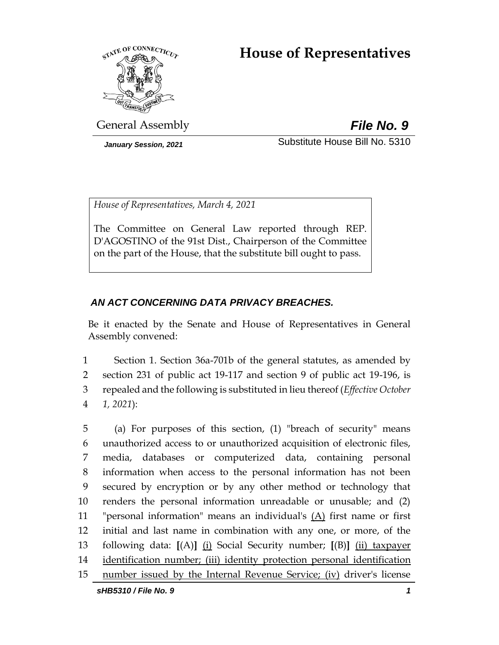# **House of Representatives**



General Assembly *File No. 9*

*January Session, 2021* Substitute House Bill No. 5310

*House of Representatives, March 4, 2021*

The Committee on General Law reported through REP. D'AGOSTINO of the 91st Dist., Chairperson of the Committee on the part of the House, that the substitute bill ought to pass.

# *AN ACT CONCERNING DATA PRIVACY BREACHES.*

Be it enacted by the Senate and House of Representatives in General Assembly convened:

 Section 1. Section 36a-701b of the general statutes, as amended by section 231 of public act 19-117 and section 9 of public act 19-196, is repealed and the following is substituted in lieu thereof (*Effective October 1, 2021*):

 (a) For purposes of this section, (1) "breach of security" means unauthorized access to or unauthorized acquisition of electronic files, media, databases or computerized data, containing personal information when access to the personal information has not been secured by encryption or by any other method or technology that renders the personal information unreadable or unusable; and (2) 11 "personal information" means an individual's  $(A)$  first name or first initial and last name in combination with any one, or more, of the following data: **[**(A)**]** (i) Social Security number; **[**(B)**]** (ii) taxpayer identification number; (iii) identity protection personal identification number issued by the Internal Revenue Service; (iv) driver's license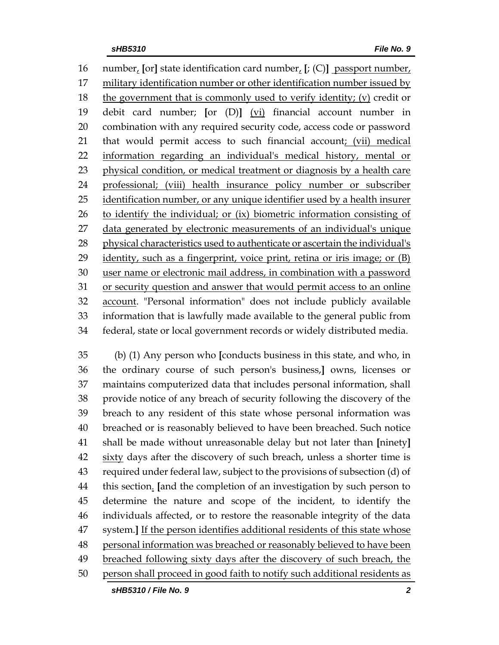number, **[**or**]** state identification card number, **[**; (C)**]** passport number, military identification number or other identification number issued by 18 the government that is commonly used to verify identity; (v) credit or debit card number; **[**or (D)**]** (vi) financial account number in combination with any required security code, access code or password 21 that would permit access to such financial account; (vii) medical information regarding an individual's medical history, mental or physical condition, or medical treatment or diagnosis by a health care professional; (viii) health insurance policy number or subscriber identification number, or any unique identifier used by a health insurer 26 to identify the individual; or (ix) biometric information consisting of data generated by electronic measurements of an individual's unique 28 physical characteristics used to authenticate or ascertain the individual's 29 identity, such as a fingerprint, voice print, retina or iris image; or (B) user name or electronic mail address, in combination with a password or security question and answer that would permit access to an online account. "Personal information" does not include publicly available information that is lawfully made available to the general public from federal, state or local government records or widely distributed media.

 (b) (1) Any person who **[**conducts business in this state, and who, in the ordinary course of such person's business,**]** owns, licenses or maintains computerized data that includes personal information, shall provide notice of any breach of security following the discovery of the breach to any resident of this state whose personal information was breached or is reasonably believed to have been breached. Such notice shall be made without unreasonable delay but not later than **[**ninety**]** sixty days after the discovery of such breach, unless a shorter time is required under federal law, subject to the provisions of subsection (d) of this section. **[**and the completion of an investigation by such person to determine the nature and scope of the incident, to identify the individuals affected, or to restore the reasonable integrity of the data system.**]** If the person identifies additional residents of this state whose personal information was breached or reasonably believed to have been breached following sixty days after the discovery of such breach, the person shall proceed in good faith to notify such additional residents as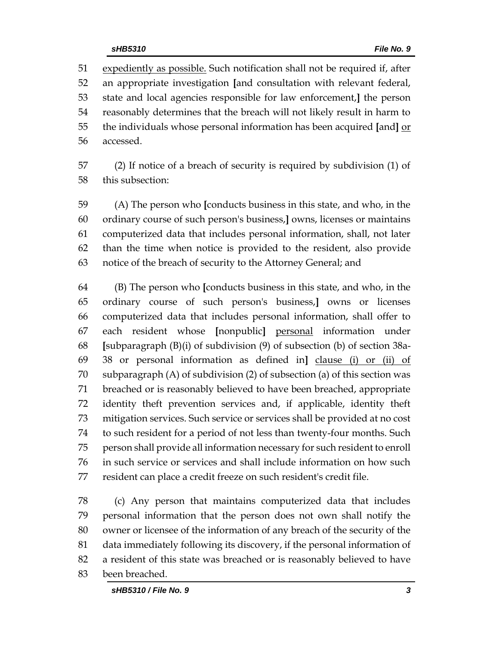expediently as possible. Such notification shall not be required if, after an appropriate investigation **[**and consultation with relevant federal, state and local agencies responsible for law enforcement,**]** the person reasonably determines that the breach will not likely result in harm to the individuals whose personal information has been acquired **[**and**]** or accessed.

 (2) If notice of a breach of security is required by subdivision (1) of this subsection:

 (A) The person who **[**conducts business in this state, and who, in the ordinary course of such person's business,**]** owns, licenses or maintains computerized data that includes personal information, shall, not later than the time when notice is provided to the resident, also provide notice of the breach of security to the Attorney General; and

 (B) The person who **[**conducts business in this state, and who, in the ordinary course of such person's business,**]** owns or licenses computerized data that includes personal information, shall offer to each resident whose **[**nonpublic**]** personal information under **[**subparagraph (B)(i) of subdivision (9) of subsection (b) of section 38a- 38 or personal information as defined in**]** clause (i) or (ii) of subparagraph (A) of subdivision (2) of subsection (a) of this section was breached or is reasonably believed to have been breached, appropriate identity theft prevention services and, if applicable, identity theft mitigation services. Such service or services shall be provided at no cost to such resident for a period of not less than twenty-four months. Such person shall provide all information necessary for such resident to enroll in such service or services and shall include information on how such resident can place a credit freeze on such resident's credit file.

 (c) Any person that maintains computerized data that includes personal information that the person does not own shall notify the owner or licensee of the information of any breach of the security of the data immediately following its discovery, if the personal information of a resident of this state was breached or is reasonably believed to have been breached.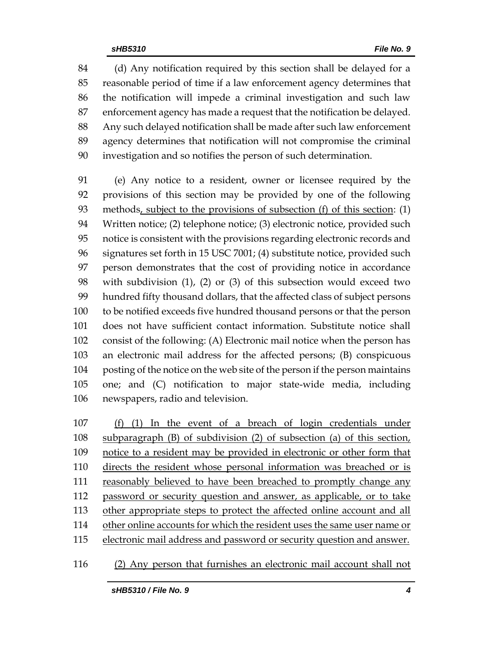(d) Any notification required by this section shall be delayed for a reasonable period of time if a law enforcement agency determines that the notification will impede a criminal investigation and such law enforcement agency has made a request that the notification be delayed. Any such delayed notification shall be made after such law enforcement agency determines that notification will not compromise the criminal investigation and so notifies the person of such determination.

 (e) Any notice to a resident, owner or licensee required by the provisions of this section may be provided by one of the following methods, subject to the provisions of subsection (f) of this section: (1) Written notice; (2) telephone notice; (3) electronic notice, provided such notice is consistent with the provisions regarding electronic records and signatures set forth in 15 USC 7001; (4) substitute notice, provided such person demonstrates that the cost of providing notice in accordance with subdivision (1), (2) or (3) of this subsection would exceed two hundred fifty thousand dollars, that the affected class of subject persons to be notified exceeds five hundred thousand persons or that the person does not have sufficient contact information. Substitute notice shall consist of the following: (A) Electronic mail notice when the person has an electronic mail address for the affected persons; (B) conspicuous posting of the notice on the web site of the person if the person maintains one; and (C) notification to major state-wide media, including newspapers, radio and television.

 (f) (1) In the event of a breach of login credentials under subparagraph (B) of subdivision (2) of subsection (a) of this section, notice to a resident may be provided in electronic or other form that directs the resident whose personal information was breached or is 111 reasonably believed to have been breached to promptly change any password or security question and answer, as applicable, or to take other appropriate steps to protect the affected online account and all other online accounts for which the resident uses the same user name or electronic mail address and password or security question and answer.

(2) Any person that furnishes an electronic mail account shall not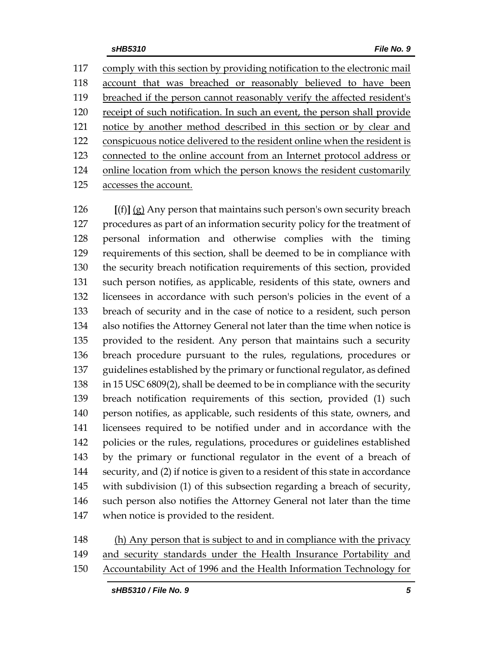comply with this section by providing notification to the electronic mail account that was breached or reasonably believed to have been breached if the person cannot reasonably verify the affected resident's receipt of such notification. In such an event, the person shall provide notice by another method described in this section or by clear and conspicuous notice delivered to the resident online when the resident is connected to the online account from an Internet protocol address or 124 online location from which the person knows the resident customarily accesses the account.

 **[**(f)**]** (g) Any person that maintains such person's own security breach procedures as part of an information security policy for the treatment of personal information and otherwise complies with the timing requirements of this section, shall be deemed to be in compliance with the security breach notification requirements of this section, provided such person notifies, as applicable, residents of this state, owners and licensees in accordance with such person's policies in the event of a breach of security and in the case of notice to a resident, such person also notifies the Attorney General not later than the time when notice is provided to the resident. Any person that maintains such a security breach procedure pursuant to the rules, regulations, procedures or guidelines established by the primary or functional regulator, as defined in 15 USC 6809(2), shall be deemed to be in compliance with the security breach notification requirements of this section, provided (1) such person notifies, as applicable, such residents of this state, owners, and licensees required to be notified under and in accordance with the policies or the rules, regulations, procedures or guidelines established by the primary or functional regulator in the event of a breach of security, and (2) if notice is given to a resident of this state in accordance with subdivision (1) of this subsection regarding a breach of security, such person also notifies the Attorney General not later than the time when notice is provided to the resident.

 (h) Any person that is subject to and in compliance with the privacy and security standards under the Health Insurance Portability and

Accountability Act of 1996 and the Health Information Technology for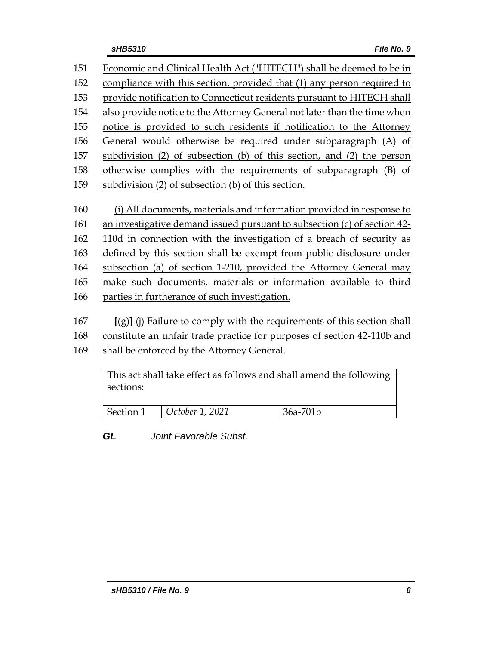Economic and Clinical Health Act ("HITECH") shall be deemed to be in compliance with this section, provided that (1) any person required to provide notification to Connecticut residents pursuant to HITECH shall also provide notice to the Attorney General not later than the time when notice is provided to such residents if notification to the Attorney General would otherwise be required under subparagraph (A) of subdivision (2) of subsection (b) of this section, and (2) the person otherwise complies with the requirements of subparagraph (B) of subdivision (2) of subsection (b) of this section. (i) All documents, materials and information provided in response to an investigative demand issued pursuant to subsection (c) of section 42- 110d in connection with the investigation of a breach of security as defined by this section shall be exempt from public disclosure under subsection (a) of section 1-210, provided the Attorney General may make such documents, materials or information available to third parties in furtherance of such investigation. **[**(g)**]** (j) Failure to comply with the requirements of this section shall

 constitute an unfair trade practice for purposes of section 42-110b and shall be enforced by the Attorney General.

This act shall take effect as follows and shall amend the following sections: Section 1 *October 1, 2021* 36a-701b

*GL Joint Favorable Subst.*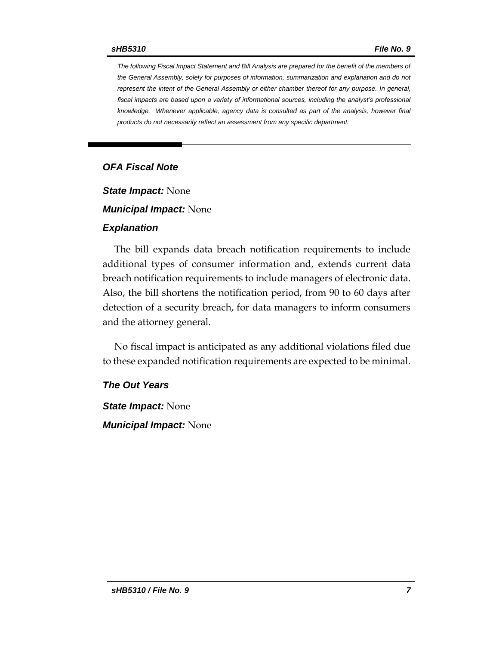*The following Fiscal Impact Statement and Bill Analysis are prepared for the benefit of the members of the General Assembly, solely for purposes of information, summarization and explanation and do not represent the intent of the General Assembly or either chamber thereof for any purpose. In general,*  fiscal impacts are based upon a variety of informational sources, including the analyst's professional *knowledge. Whenever applicable, agency data is consulted as part of the analysis, however final products do not necessarily reflect an assessment from any specific department.*

#### *OFA Fiscal Note*

*State Impact:* None

*Municipal Impact:* None

#### *Explanation*

The bill expands data breach notification requirements to include additional types of consumer information and, extends current data breach notification requirements to include managers of electronic data. Also, the bill shortens the notification period, from 90 to 60 days after detection of a security breach, for data managers to inform consumers and the attorney general.

No fiscal impact is anticipated as any additional violations filed due to these expanded notification requirements are expected to be minimal.

#### *The Out Years*

*State Impact:* None *Municipal Impact:* None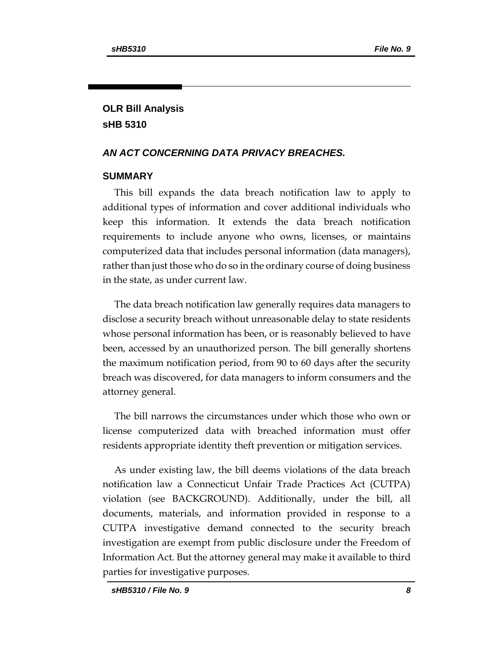# **OLR Bill Analysis sHB 5310**

# *AN ACT CONCERNING DATA PRIVACY BREACHES.*

#### **SUMMARY**

This bill expands the data breach notification law to apply to additional types of information and cover additional individuals who keep this information. It extends the data breach notification requirements to include anyone who owns, licenses, or maintains computerized data that includes personal information (data managers), rather than just those who do so in the ordinary course of doing business in the state, as under current law.

The data breach notification law generally requires data managers to disclose a security breach without unreasonable delay to state residents whose personal information has been, or is reasonably believed to have been, accessed by an unauthorized person. The bill generally shortens the maximum notification period, from 90 to 60 days after the security breach was discovered, for data managers to inform consumers and the attorney general.

The bill narrows the circumstances under which those who own or license computerized data with breached information must offer residents appropriate identity theft prevention or mitigation services.

As under existing law, the bill deems violations of the data breach notification law a Connecticut Unfair Trade Practices Act (CUTPA) violation (see BACKGROUND). Additionally, under the bill, all documents, materials, and information provided in response to a CUTPA investigative demand connected to the security breach investigation are exempt from public disclosure under the Freedom of Information Act. But the attorney general may make it available to third parties for investigative purposes.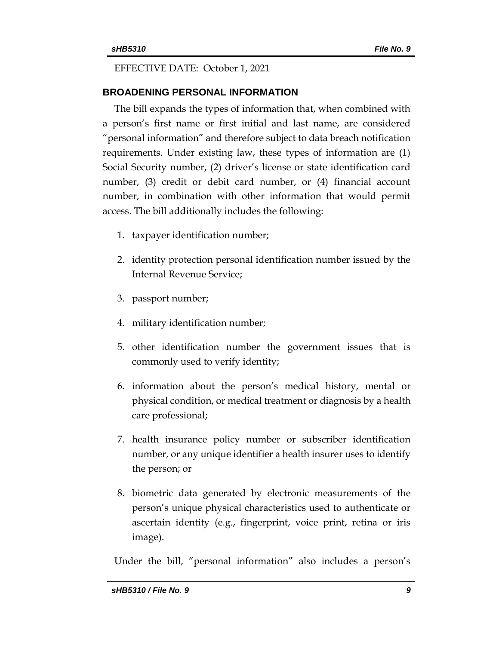#### EFFECTIVE DATE: October 1, 2021

#### **BROADENING PERSONAL INFORMATION**

The bill expands the types of information that, when combined with a person's first name or first initial and last name, are considered "personal information" and therefore subject to data breach notification requirements. Under existing law, these types of information are (1) Social Security number, (2) driver's license or state identification card number, (3) credit or debit card number, or (4) financial account number, in combination with other information that would permit access. The bill additionally includes the following:

- 1. taxpayer identification number;
- 2. identity protection personal identification number issued by the Internal Revenue Service;
- 3. passport number;
- 4. military identification number;
- 5. other identification number the government issues that is commonly used to verify identity;
- 6. information about the person's medical history, mental or physical condition, or medical treatment or diagnosis by a health care professional;
- 7. health insurance policy number or subscriber identification number, or any unique identifier a health insurer uses to identify the person; or
- 8. biometric data generated by electronic measurements of the person's unique physical characteristics used to authenticate or ascertain identity (e.g., fingerprint, voice print, retina or iris image).

Under the bill, "personal information" also includes a person's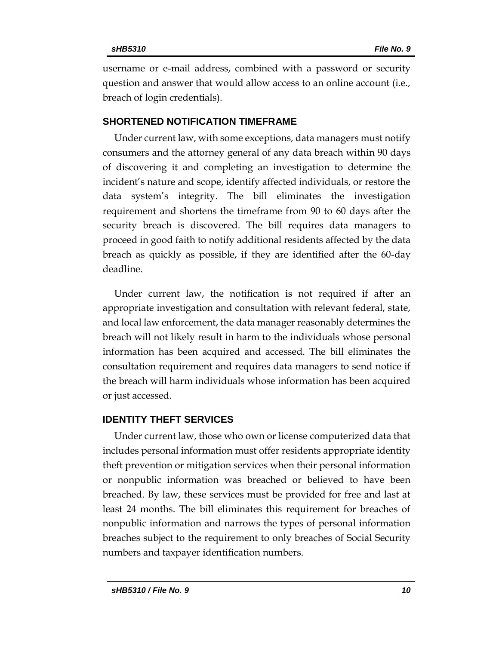username or e-mail address, combined with a password or security question and answer that would allow access to an online account (i.e., breach of login credentials).

#### **SHORTENED NOTIFICATION TIMEFRAME**

Under current law, with some exceptions, data managers must notify consumers and the attorney general of any data breach within 90 days of discovering it and completing an investigation to determine the incident's nature and scope, identify affected individuals, or restore the data system's integrity. The bill eliminates the investigation requirement and shortens the timeframe from 90 to 60 days after the security breach is discovered. The bill requires data managers to proceed in good faith to notify additional residents affected by the data breach as quickly as possible, if they are identified after the 60-day deadline.

Under current law, the notification is not required if after an appropriate investigation and consultation with relevant federal, state, and local law enforcement, the data manager reasonably determines the breach will not likely result in harm to the individuals whose personal information has been acquired and accessed. The bill eliminates the consultation requirement and requires data managers to send notice if the breach will harm individuals whose information has been acquired or just accessed.

#### **IDENTITY THEFT SERVICES**

Under current law, those who own or license computerized data that includes personal information must offer residents appropriate identity theft prevention or mitigation services when their personal information or nonpublic information was breached or believed to have been breached. By law, these services must be provided for free and last at least 24 months. The bill eliminates this requirement for breaches of nonpublic information and narrows the types of personal information breaches subject to the requirement to only breaches of Social Security numbers and taxpayer identification numbers.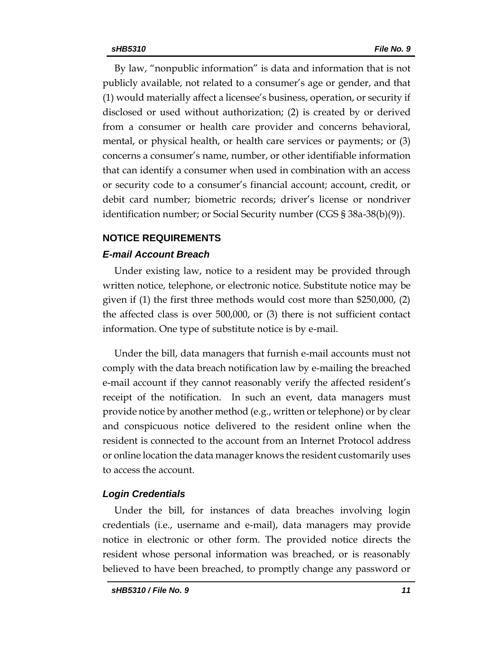By law, "nonpublic information" is data and information that is not publicly available, not related to a consumer's age or gender, and that (1) would materially affect a licensee's business, operation, or security if disclosed or used without authorization; (2) is created by or derived from a consumer or health care provider and concerns behavioral, mental, or physical health, or health care services or payments; or (3) concerns a consumer's name, number, or other identifiable information that can identify a consumer when used in combination with an access or security code to a consumer's financial account; account, credit, or debit card number; biometric records; driver's license or nondriver identification number; or Social Security number (CGS § 38a-38(b)(9)).

# **NOTICE REQUIREMENTS**

# *E-mail Account Breach*

Under existing law, notice to a resident may be provided through written notice, telephone, or electronic notice. Substitute notice may be given if (1) the first three methods would cost more than \$250,000, (2) the affected class is over 500,000, or (3) there is not sufficient contact information. One type of substitute notice is by e-mail.

Under the bill, data managers that furnish e-mail accounts must not comply with the data breach notification law by e-mailing the breached e-mail account if they cannot reasonably verify the affected resident's receipt of the notification. In such an event, data managers must provide notice by another method (e.g., written or telephone) or by clear and conspicuous notice delivered to the resident online when the resident is connected to the account from an Internet Protocol address or online location the data manager knows the resident customarily uses to access the account.

# *Login Credentials*

Under the bill, for instances of data breaches involving login credentials (i.e., username and e-mail), data managers may provide notice in electronic or other form. The provided notice directs the resident whose personal information was breached, or is reasonably believed to have been breached, to promptly change any password or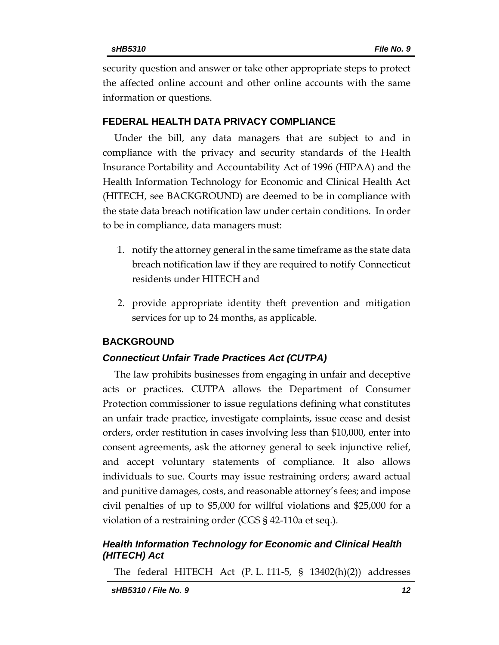security question and answer or take other appropriate steps to protect the affected online account and other online accounts with the same information or questions.

#### **FEDERAL HEALTH DATA PRIVACY COMPLIANCE**

Under the bill, any data managers that are subject to and in compliance with the privacy and security standards of the Health Insurance Portability and Accountability Act of 1996 (HIPAA) and the Health Information Technology for Economic and Clinical Health Act (HITECH, see BACKGROUND) are deemed to be in compliance with the state data breach notification law under certain conditions. In order to be in compliance, data managers must:

- 1. notify the attorney general in the same timeframe as the state data breach notification law if they are required to notify Connecticut residents under HITECH and
- 2. provide appropriate identity theft prevention and mitigation services for up to 24 months, as applicable.

# **BACKGROUND**

# *Connecticut Unfair Trade Practices Act (CUTPA)*

The law prohibits businesses from engaging in unfair and deceptive acts or practices. CUTPA allows the Department of Consumer Protection commissioner to issue regulations defining what constitutes an unfair trade practice, investigate complaints, issue cease and desist orders, order restitution in cases involving less than \$10,000, enter into consent agreements, ask the attorney general to seek injunctive relief, and accept voluntary statements of compliance. It also allows individuals to sue. Courts may issue restraining orders; award actual and punitive damages, costs, and reasonable attorney's fees; and impose civil penalties of up to \$5,000 for willful violations and \$25,000 for a violation of a restraining order (CGS § 42-110a et seq.).

# *Health Information Technology for Economic and Clinical Health (HITECH) Act*

The federal HITECH Act (P. L. 111-5, § 13402(h)(2)) addresses